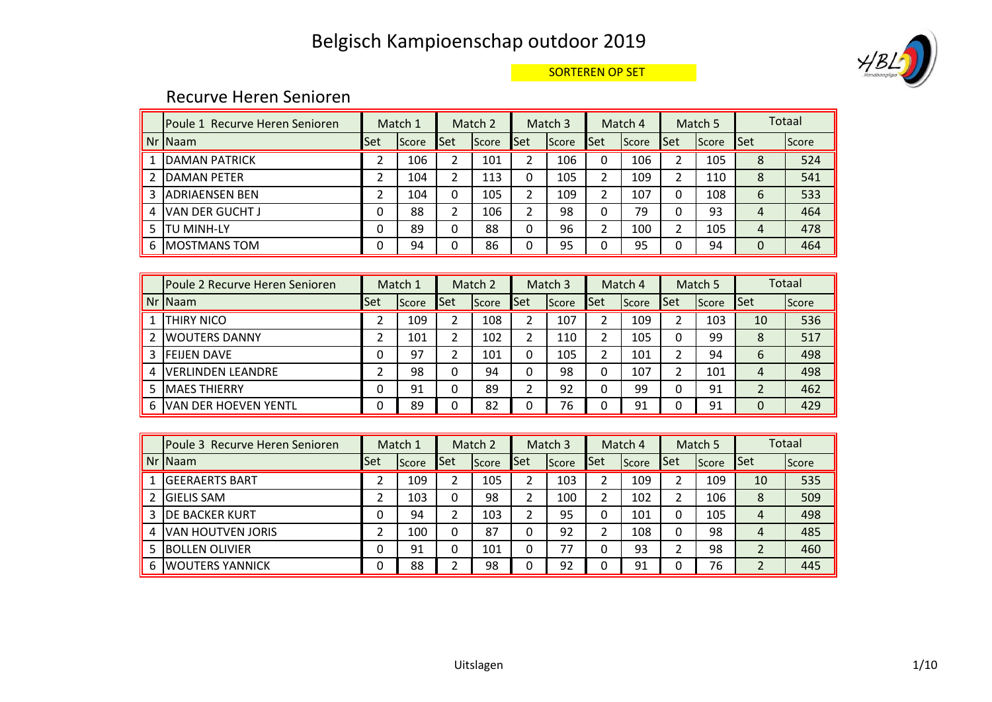

#### SORTEREN OP SET

#### Recurve Heren Senioren

|   | lPoule 1 Recurve Heren Senioren |            | Match 1 |              | Match 2      |              | Match <sub>3</sub> |              | Match 4 |            | Match 5      |            | Totaal |
|---|---------------------------------|------------|---------|--------------|--------------|--------------|--------------------|--------------|---------|------------|--------------|------------|--------|
|   | Nr INaam                        | <b>Set</b> | Score   | <b>I</b> Set | <b>Score</b> | <b>I</b> Set | <b>Score</b>       | <b>I</b> Set | Score   | <b>Set</b> | <b>Score</b> | <b>Set</b> | Score  |
|   | DAMAN PATRICK                   |            | 106     |              | 101          | າ            | 106                | 0            | 106     | າ          | 105          | 8          | 524    |
|   | <b>IDAMAN PETER</b>             |            | 104     | ົ            | 113          | 0            | 105                | 2            | 109     | ົາ         | 110          | 8          | 541    |
|   | <b>JADRIAENSEN BEN</b>          |            | 104     | 0            | 105          | ∍            | 109                | า            | 107     |            | 108          | 6          | 533    |
| 4 | <b>IVAN DER GUCHT J</b>         | 0          | 88      |              | 106          | ำ            | 98                 |              | 79      |            | 93           | 4          | 464    |
|   | TU MINH-LY                      | 0          | 89      | 0            | 88           | 0            | 96                 | ∍            | 100     | ∍          | 105          | 4          | 478    |
| 6 | <b>IMOSTMANS TOM</b>            |            | 94      | 0            | 86           |              | 95                 |              | 95      |            | 94           | $\Omega$   | 464    |

|   | IPoule 2 Recurve Heren Senioren |     | Match 1 |     | Match 2 |     | Match 3      |     | Match 4       |     | Match 5       |     | <b>Totaal</b> |
|---|---------------------------------|-----|---------|-----|---------|-----|--------------|-----|---------------|-----|---------------|-----|---------------|
|   | Nr Naam                         | Set | Score   | Set | Score   | Set | <b>Score</b> | Set | <b>IScore</b> | Set | <b>IScore</b> | Set | Score         |
|   | <b>THIRY NICO</b>               |     | 109     |     | 108     |     | 107          |     | 109           |     | 103           | 10  | 536           |
|   | IWOUTERS DANNY                  |     | 101     |     | 102     |     | 110          |     | 105           | 0   | 99            | 8   | 517           |
|   | 3 FEIJEN DAVE                   | 0   | 97      | ำ   | 101     | 0   | 105          | っ   | 101           | 2   | 94            | 6   | 498           |
| 4 | IVERLINDEN LEANDRE              |     | 98      | 0   | 94      | 0   | 98           | 0   | 107           | 2   | 101           | 4   | 498           |
|   | <b>MAES THIERRY</b>             | 0   | 91      | 0   | 89      |     | 92           | 0   | 99            | 0   | 91            | 2   | 462           |
| 6 | <b>VAN DER HOEVEN YENTL</b>     | 0   | 89      |     | 82      |     | 76           |     | 91            | 0   | 91            | 0   | 429           |

|   | Poule 3 Recurve Heren Senioren |            | Match 1 |      | Match 2 |      | Match 3 |      | Match 4 |      | Match 5 |                         | Totaal |
|---|--------------------------------|------------|---------|------|---------|------|---------|------|---------|------|---------|-------------------------|--------|
|   | Nr Naam                        | <b>Set</b> | Score   | lSet | Score   | lSet | Score   | lSet | Score   | lSet | Score   | Set                     | Score  |
|   | <b>GEERAERTS BART</b>          |            | 109     |      | 105     |      | 103     |      | 109     |      | 109     | 10                      | 535    |
|   | <b>GIELIS SAM</b>              |            | 103     | 0    | 98      |      | 100     |      | 102     |      | 106     | 8                       | 509    |
|   | <b>IDE BACKER KURT</b>         | 0          | 94      |      | 103     | ำ    | 95      | 0    | 101     | 0    | 105     | 4                       | 498    |
| 4 | IVAN HOUTVEN JORIS             |            | 100     | 0    | 87      | 0    | 92      |      | 108     | 0    | 98      | 4                       | 485    |
|   | IBOLLEN OLIVIER                | 0          | 91      | 0    | 101     | 0    | 77      | 0    | 93      | ∍    | 98      |                         | 460    |
| 6 | <b>WOUTERS YANNICK</b>         | 0          | 88      |      | 98      |      | 92      |      | 91      |      | 76      | $\overline{\mathbf{c}}$ | 445    |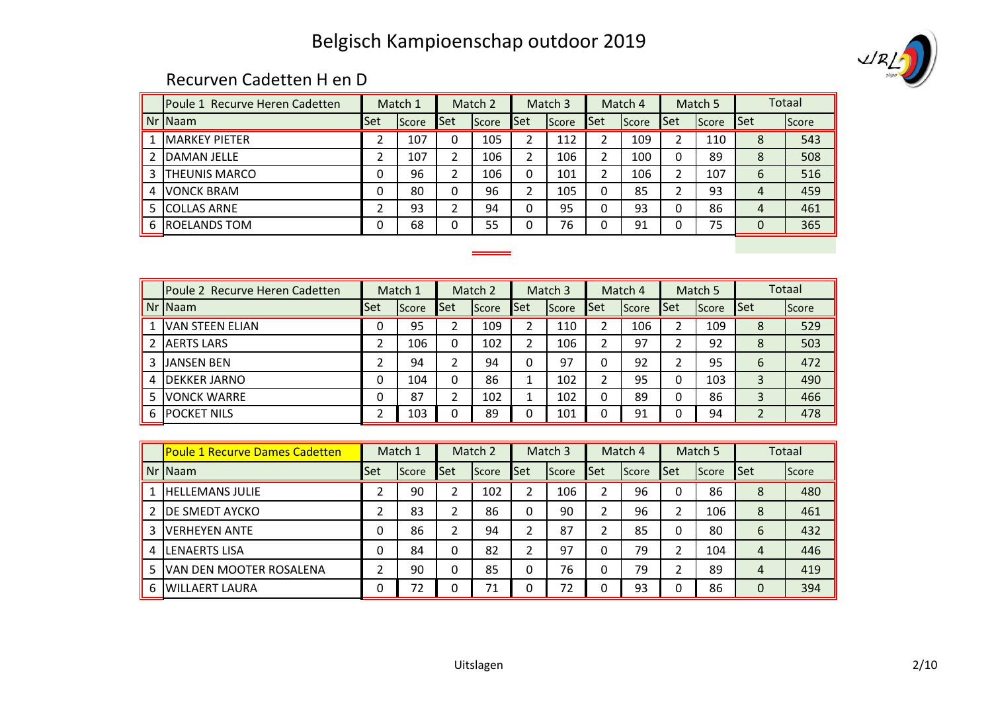

#### Recurven Cadetten H en D

| <b>IPoule 1 Recurve Heren Cadetten</b> |     | Match 1 |     | Match 2      |     | Match 3      |                | Match 4 |     | Match 5      |                | Totaal |
|----------------------------------------|-----|---------|-----|--------------|-----|--------------|----------------|---------|-----|--------------|----------------|--------|
| $Nr$ Naam                              | Set | Score   | Set | <b>Score</b> | Set | <b>Score</b> | <b>Set</b>     | Score   | Set | <b>Score</b> | Set            | Score  |
| <b>IMARKEY PIETER</b>                  | ำ   | 107     | 0   | 105          | າ   | 112          | 2              | 109     | 2   | 110          | 8              | 543    |
| <b>DAMAN JELLE</b>                     | ำ   | 107     | 2   | 106          | 2   | 106          | $\overline{2}$ | 100     | 0   | 89           | 8              | 508    |
| 3 <b>THEUNIS MARCO</b>                 |     | 96      | າ   | 106          | 0   | 101          | $\overline{2}$ | 106     | າ   | 107          | 6              | 516    |
| 4 <b>VONCK BRAM</b>                    |     | 80      | 0   | 96           | 2   | 105          | 0              | 85      | ำ   | 93           | 4              | 459    |
| 5 COLLAS ARNE                          | ∍   | 93      | ∍   | 94           | 0   | 95           | 0              | 93      | 0   | 86           | $\overline{4}$ | 461    |
| 6 <b>ROELANDS TOM</b>                  |     | 68      |     | 55           | 0   | 76           | 0              | 91      | 0   | 75           | 0              | 365    |
|                                        |     |         |     |              |     |              |                |         |     |              |                |        |

| <b>Poule 2 Recurve Heren Cadetten</b> |     | Match 1 |     | Match 2 |     | Match 3 |            | Match 4 |            | Match 5 |            | <b>Totaal</b> |
|---------------------------------------|-----|---------|-----|---------|-----|---------|------------|---------|------------|---------|------------|---------------|
| Nr INaam                              | Set | Score   | Set | Score   | Set | Score   | <b>Set</b> | Score   | <b>Set</b> | Score   | <b>Set</b> | Score         |
| <b>IVAN STEEN ELIAN</b>               | 0   | 95      |     | 109     |     | 110     |            | 106     |            | 109     | 8          | 529           |
| <b>JAERTS LARS</b>                    |     | 106     | 0   | 102     | ำ   | 106     |            | 97      |            | 92      | 8          | 503           |
| 3 IJANSEN BEN                         |     | 94      |     | 94      | 0   | 97      | 0          | 92      |            | 95      | 6          | 472           |
| <b>IDEKKER JARNO</b>                  | 0   | 104     | 0   | 86      |     | 102     | ∍          | 95      | 0          | 103     | 3          | 490           |
| <b>IVONCK WARRE</b>                   | 0   | 87      | ∍   | 102     |     | 102     | 0          | 89      | 0          | 86      | 3          | 466           |
| <b>6 IPOCKET NILS</b>                 |     | 103     |     | 89      |     | 101     | 0          | 91      |            | 94      |            | 478           |

|   | <u>IPoule 1 Recurve Dames Cadetten</u> |     | Match 1 |              | Match 2 |     | Match 3 |     | Match 4 |     | Match 5 |                | <b>Totaal</b> |
|---|----------------------------------------|-----|---------|--------------|---------|-----|---------|-----|---------|-----|---------|----------------|---------------|
|   | $Nr$ Naam                              | Set | Score   | <b>Set</b>   | Score   | Set | Score   | Set | Score   | Set | Score   | <b>Set</b>     | Score         |
|   | <b>HELLEMANS JULIE</b>                 |     | 90      |              | 102     |     | 106     |     | 96      |     | 86      | 8              | 480           |
|   | DE SMEDT AYCKO                         |     | 83      |              | 86      | 0   | 90      |     | 96      | 2   | 106     | 8              | 461           |
| 3 | IVERHEYEN ANTE                         | 0   | 86      |              | 94      |     | 87      |     | 85      |     | 80      | 6              | 432           |
|   | <b>LENAERTS LISA</b>                   | 0   | 84      | 0            | 82      |     | 97      |     | 79      |     | 104     | $\overline{4}$ | 446           |
|   | VAN DEN MOOTER ROSALENA                |     | 90      | $\mathbf{0}$ | 85      | 0   | 76      | 0   | 79      |     | 89      | 4              | 419           |
| 6 | IWILLAERT LAURA                        |     | 72      | $\Omega$     | 71      | 0   | 72      |     | 93      | 0   | 86      | 0              | 394           |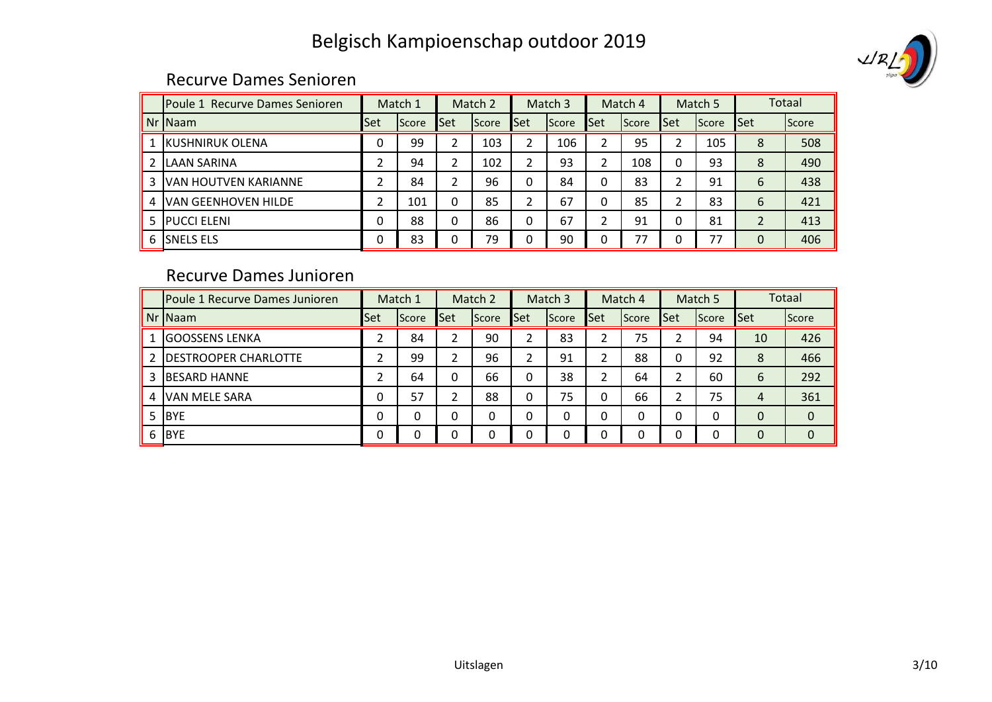# VRLJ

#### Recurve Dames Senioren

|    | Poule 1 Recurve Dames Senioren |     | Match 1 |      | Match 2 |            | Match 3 |              | Match 4      |     | Match 5      |                          | Totaal |
|----|--------------------------------|-----|---------|------|---------|------------|---------|--------------|--------------|-----|--------------|--------------------------|--------|
|    | Nr INaam                       | Set | Score   | lSet | Score   | <b>Set</b> | Score   | <b>I</b> Set | <b>Score</b> | Set | <b>Score</b> | <b>Set</b>               | Score  |
|    | <b>IKUSHNIRUK OLENA</b>        | 0   | 99      | 2    | 103     | 2          | 106     | 2            | 95           | 2   | 105          | 8                        | 508    |
|    | <b>ILAAN SARINA</b>            |     | 94      | 2    | 102     | 2          | 93      | 2            | 108          | 0   | 93           | 8                        | 490    |
| 3. | IVAN HOUTVEN KARIANNE          | ำ   | 84      | າ    | 96      | 0          | 84      | 0            | 83           | ∍   | 91           | 6                        | 438    |
| 4  | <b>VAN GEENHOVEN HILDE</b>     |     | 101     | 0    | 85      | C.         | 67      | 0            | 85           | C.  | 83           | 6                        | 421    |
|    | 5 <b>PUCCI ELENI</b>           |     | 88      | 0    | 86      | 0          | 67      | ኀ            | 91           | 0   | 81           | $\overline{\phantom{a}}$ | 413    |
| 6  | ISNELS ELS                     | 0   | 83      |      | 79      | 0          | 90      | 0            | 77           | 0   | 77           | $\Omega$                 | 406    |

### Recurve Dames Junioren

|   | Poule 1 Recurve Dames Junioren |            | Match 1 |      | Match 2 |               | Match 3 |      | Match 4 |            | Match 5 |                | Totaal      |
|---|--------------------------------|------------|---------|------|---------|---------------|---------|------|---------|------------|---------|----------------|-------------|
|   | Nr Naam                        | <b>Set</b> | Score   | lSet | Score   | lSet          | Score   | lSet | Score   | <b>Set</b> | Score   | <b>Set</b>     | Score       |
|   | lGOOSSENS LENKA                |            | 84      |      | 90      |               | 83      |      | 75      |            | 94      | 10             | 426         |
|   | <b>DESTROOPER CHARLOTTE</b>    |            | 99      | ົາ   | 96      | $\mathcal{D}$ | 91      | າ    | 88      | 0          | 92      | 8              | 466         |
|   | <b>BESARD HANNE</b>            |            | 64      | 0    | 66      | 0             | 38      | C    | 64      | C.         | 60      | 6              | 292         |
|   | <b>VAN MELE SARA</b>           | 0          | 57      |      | 88      | 0             | 75      | 0    | 66      | າ          | 75      | $\overline{4}$ | 361         |
|   | <b>BYE</b>                     | 0          | 0       | 0    | 0       | 0             | 0       | 0    | 0       | 0          | 0       | $\Omega$       | $\mathbf 0$ |
| 6 | <b>BYE</b>                     | 0          | 0       | 0    | 0       | 0             | 0       | 0    | 0       | 0          | 0       | 0              | $\Omega$    |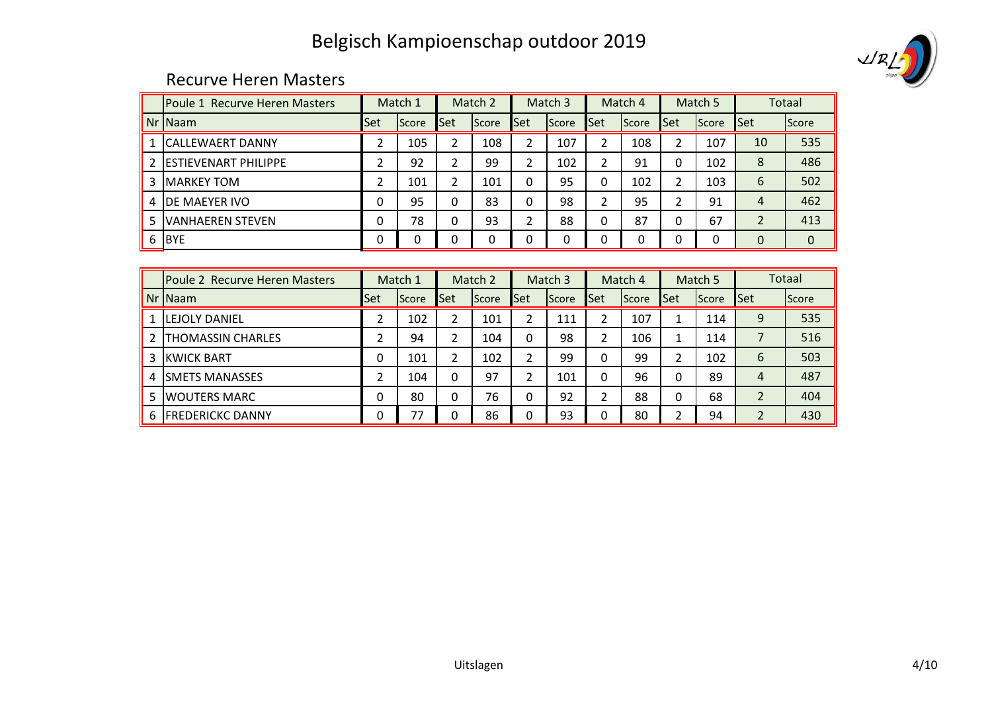

#### Recurve Heren Masters

|    | <b>IPoule 1 Recurve Heren Masters</b> |      | Match 1      |      | Match 2 |              | Match 3 |     | Match 4      |     | Match 5      |                | <b>Totaal</b> |
|----|---------------------------------------|------|--------------|------|---------|--------------|---------|-----|--------------|-----|--------------|----------------|---------------|
|    | Nr Naam                               | lSet | Score        | lSet | Score   | <b>I</b> Set | Score   | Set | <b>Score</b> | Set | <b>Score</b> | Set            | Score         |
|    | <b>ICALLEWAERT DANNY</b>              | ำ    | 105          | 2    | 108     | 2            | 107     | 2   | 108          | 2   | 107          | 10             | 535           |
|    | <b>IESTIEVENART PHILIPPE</b>          |      | 92           | ำ    | 99      | っ            | 102     | 2   | 91           | 0   | 102          | 8              | 486           |
| 3  | <b>MARKEY TOM</b>                     | ำ    | 101          | າ    | 101     | 0            | 95      | 0   | 102          | 2   | 103          | 6              | 502           |
| 4  | <b>IDE MAEYER IVO</b>                 |      | 95           | 0    | 83      | 0            | 98      | ำ   | 95           | C.  | 91           | 4              | 462           |
| 5. | <b>VANHAEREN STEVEN</b>               |      | 78           |      | 93      | ำ            | 88      | 0   | 87           | 0   | 67           | $\overline{2}$ | 413           |
| 6  | <b>BYE</b>                            |      | <sup>0</sup> | 0    | 0       | 0            | 0       | 0   | 0            | 0   | 0            | $\Omega$       | 0             |

|    | Poule 2 Recurve Heren Masters |     | Match 1 |          | Match 2 |     | Match 3 |              | Match 4 |              | Match 5 |                | <b>Totaal</b> |
|----|-------------------------------|-----|---------|----------|---------|-----|---------|--------------|---------|--------------|---------|----------------|---------------|
|    | Nr Naam                       | Set | Score   | Set      | Score   | Set | Score   | <b>I</b> Set | Score   | <b>I</b> Set | Score   | Set            | Score         |
|    | <b>ILEJOLY DANIEL</b>         |     | 102     |          | 101     |     | 111     |              | 107     |              | 114     | 9              | 535           |
|    | <b>THOMASSIN CHARLES</b>      |     | 94      |          | 104     | 0   | 98      |              | 106     |              | 114     |                | 516           |
|    | 3 IKWICK BART                 |     | 101     |          | 102     |     | 99      | 0            | 99      | ำ            | 102     | 6              | 503           |
| 4  | <b>ISMETS MANASSES</b>        |     | 104     | $\Omega$ | 97      |     | 101     |              | 96      |              | 89      | 4              | 487           |
| 5. | <b>IWOUTERS MARC</b>          |     | 80      |          | 76      |     | 92      |              | 88      |              | 68      | $\overline{2}$ | 404           |
| 6  | <b>FREDERICKC DANNY</b>       |     | 77      | ŋ        | 86      | n   | 93      | ŋ            | 80      |              | 94      |                | 430           |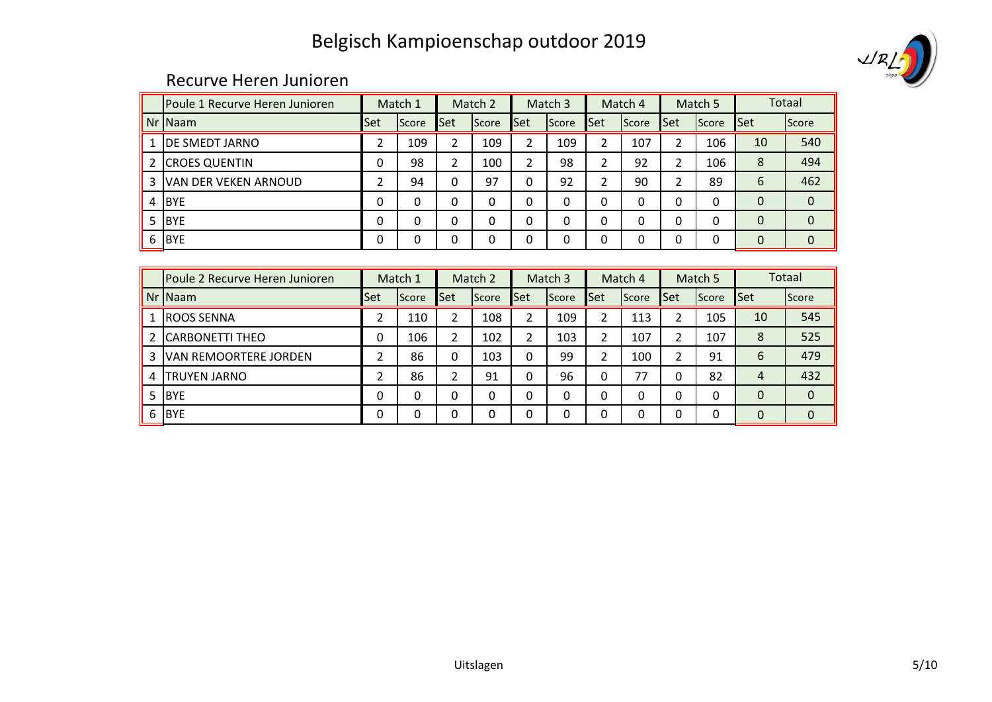

#### Recurve Heren Junioren

|   | Poule 1 Recurve Heren Junioren |          | Match 1  |     | Match 2 |              | Match 3 |            | Match 4 |      | Match 5      |              | Totaal |
|---|--------------------------------|----------|----------|-----|---------|--------------|---------|------------|---------|------|--------------|--------------|--------|
|   | Nr Naam                        | Set      | Score    | Set | Score   | Set          | Score   | <b>Set</b> | Score   | lSet | <b>Score</b> | <b>Set</b>   | Score  |
|   | <b>DE SMEDT JARNO</b>          | 2        | 109      | 2   | 109     | 2            | 109     | 2          | 107     | 2    | 106          | 10           | 540    |
|   | <b>CROES QUENTIN</b>           |          | 98       |     | 100     | 2            | 98      | 2          | 92      | 2    | 106          | 8            | 494    |
| 3 | <b>VAN DER VEKEN ARNOUD</b>    |          | 94       | 0   | 97      | 0            | 92      | 2          | 90      | 2    | 89           | 6            | 462    |
|   | <b>BYE</b>                     | $\Omega$ | $\Omega$ | 0   | 0       | 0            | 0       | 0          | 0       | 0    | 0            | $\Omega$     | 0      |
|   | <b>BYE</b>                     | $\Omega$ | 0        | 0   | 0       | $\mathbf{0}$ | 0       | 0          | 0       | 0    | 0            | $\mathbf{0}$ |        |
| 6 | <b>BYE</b>                     | $\Omega$ | $\Omega$ | 0   | 0       | 0            | 0       | 0          | 0       | 0    | 0            | $\Omega$     | 0      |

|    | lPoule 2 Recurve Heren Junioren |            | Match 1  |            | Match 2  |            | Match 3  |            | Match 4  |            | Match 5 |            | <b>Totaal</b> |
|----|---------------------------------|------------|----------|------------|----------|------------|----------|------------|----------|------------|---------|------------|---------------|
|    | Nr Naam                         | <b>Set</b> | Score    | <b>Set</b> | Score    | <b>Set</b> | Score    | <b>Set</b> | Score    | <b>Set</b> | Score   | <b>Set</b> | Score         |
|    | <b>ROOS SENNA</b>               |            | 110      |            | 108      | า          | 109      | า          | 113      | ົາ         | 105     | 10         | 545           |
|    | <b>CARBONETTI THEO</b>          |            | 106      | ำ          | 102      | ∍          | 103      | ∍          | 107      |            | 107     | 8          | 525           |
| 3. | <b>VAN REMOORTERE JORDEN</b>    |            | 86       |            | 103      | 0          | 99       | ำ          | 100      |            | 91      | 6          | 479           |
| 4  | <b>TRUYEN JARNO</b>             |            | 86       |            | 91       | 0          | 96       | 0          | 77       | 0          | 82      | 4          | 432           |
| 5. | <b>IBYE</b>                     |            | 0        |            | 0        | 0          | 0        | 0          | 0        | 0          | 0       | $\Omega$   | $\mathbf 0$   |
| 6  | <b>IBYE</b>                     |            | $\Omega$ |            | $\Omega$ | 0          | $\Omega$ | 0          | $\Omega$ | 0          | 0       | $\Omega$   | $\mathbf 0$   |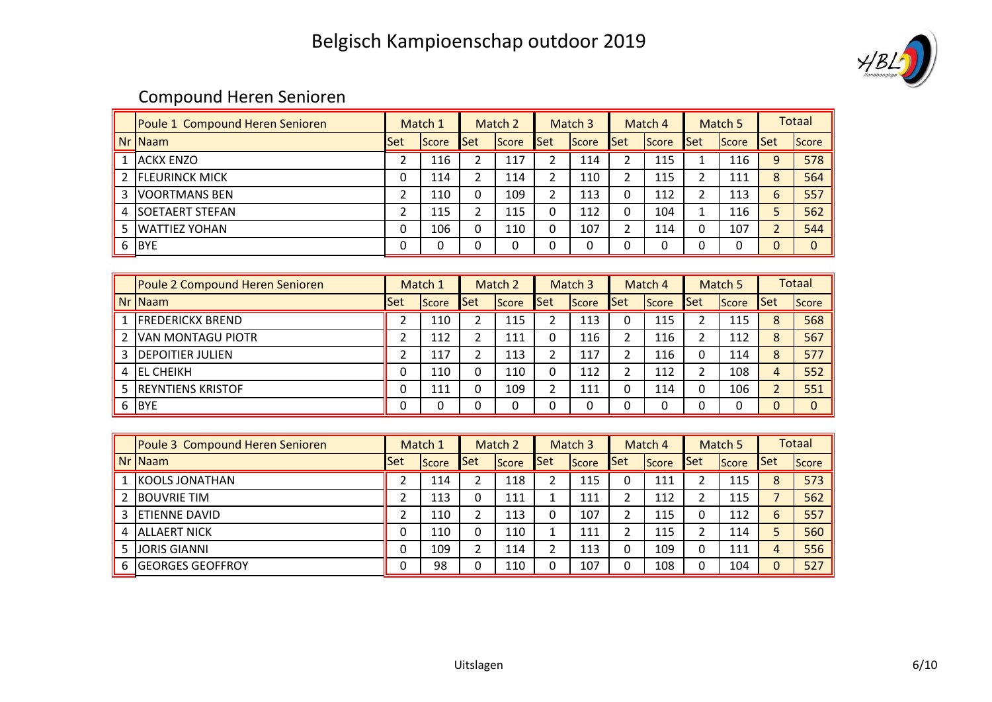

## Compound Heren Senioren

|   | Poule 1 Compound Heren Senioren | Match 1 |       | Match 2 |              | Match 3    |              | Match 4      |       |              | Match 5 | <b>Totaal</b> |          |
|---|---------------------------------|---------|-------|---------|--------------|------------|--------------|--------------|-------|--------------|---------|---------------|----------|
|   | Nr Naam                         | Set     | Score | Set     | <b>Score</b> | <b>Set</b> | <b>Score</b> | <b>I</b> Set | Score | <b>I</b> Set | Score   | Set           | Score    |
|   | <b>ACKX ENZO</b>                |         | 116   | ⌒       | 117          |            | 114          |              | 115   |              | 116     |               | 578      |
|   | <b>IFLEURINCK MICK</b>          |         | 114   | ำ       | 114          | ົ          | 110          |              | 115   |              | 111     | 8             | 564      |
|   | <b>IVOORTMANS BEN</b>           | ∍       | 110   | 0       | 109          | າ          | 113          | 0            | 112   |              | 113     | 6             | 557      |
|   | 4 SOETAERT STEFAN               | ∠       | 115   | ∍       | 115          |            | 112          | 0            | 104   |              | 116     |               | 562      |
| 5 | <b>IWATTIEZ YOHAN</b>           | 0       | 106   | 0       | 110          | 0          | 107          |              | 114   |              | 107     |               | 544      |
| 6 | <b>BYE</b>                      |         | 0     | 0       | 0            |            | 0            |              |       |              |         |               | $\Omega$ |

| Poule 2 Compound Heren Senioren |            | Match 1       |            | Match 2      |            | Match 3      |            | Match 4      |     | Match 5      |            | <b>Totaal</b> |
|---------------------------------|------------|---------------|------------|--------------|------------|--------------|------------|--------------|-----|--------------|------------|---------------|
| $Nr$ Naam                       | <b>Set</b> | <b>IScore</b> | <b>Set</b> | <b>Score</b> | <b>Set</b> | <b>Score</b> | <b>Set</b> | <b>Score</b> | Set | <b>Score</b> | <b>Set</b> | Score         |
| <b>IFREDERICKX BREND</b>        |            | 110           | ົ          | 115          |            | 113          |            | 115          |     | 115          | 8          | 568           |
| <b>VAN MONTAGU PIOTR</b>        |            | 112           |            | 111          | 0          | 116          |            | 116          |     | 112          | 8          | 567           |
| <b>3 IDEPOITIER JULIEN</b>      | ີ          | 117           |            | 113          |            | 117          |            | 116          |     | 114          | 8          | 577           |
| <b>IEL CHEIKH</b>               | 0          | 110           | 0          | 110          | 0          | 112          |            | 112          |     | 108          | 4          | 552           |
| 5 <b>IREYNTIENS KRISTOF</b>     | 0          | 111           | 0          | 109          |            | 111          |            | 114          |     | 106          |            | 551           |
| 6 BYE                           | 0          | 0             |            | 0            |            |              |            | O            |     |              |            |               |

| Poule 3 Compound Heren Senioren |     | Match 1        |     | Match 2      |     | Match 3      |     | Match 4 |     | Match 5        |     | <b>Totaal</b> |
|---------------------------------|-----|----------------|-----|--------------|-----|--------------|-----|---------|-----|----------------|-----|---------------|
| $Nr$ Naam                       | Set | <b>I</b> Score | Set | <b>Score</b> | Set | <b>Score</b> | Set | Score   | Set | <b>I</b> Score | Set | <b>Score</b>  |
| <b>IKOOLS JONATHAN</b>          |     | 114            |     | 118          |     | 115          |     | 111     |     | 115            | 8   | 573           |
| <b>IBOUVRIE TIM</b>             | ີ   | 113            |     | 111          |     | 111          |     | 112     |     | 115            |     | 562           |
| 3 <b>IETIENNE DAVID</b>         | ำ   | 110            |     | 113          | 0   | 107          |     | 115     |     | 112            | 6   | 557           |
| 4 IALLAERT NICK                 | 0   | 110            |     | 110          |     | 111          |     | 115     |     | 114            |     | 560           |
| 5 LJORIS GIANNI                 | 0   | 109            | ำ   | 114          |     | 113          |     | 109     |     | 111            | 4   | 556           |
| <b>IGEORGES GEOFFROY</b>        | 0   | 98             |     | 110          |     | 107          |     | 108     |     | 104            |     | 527           |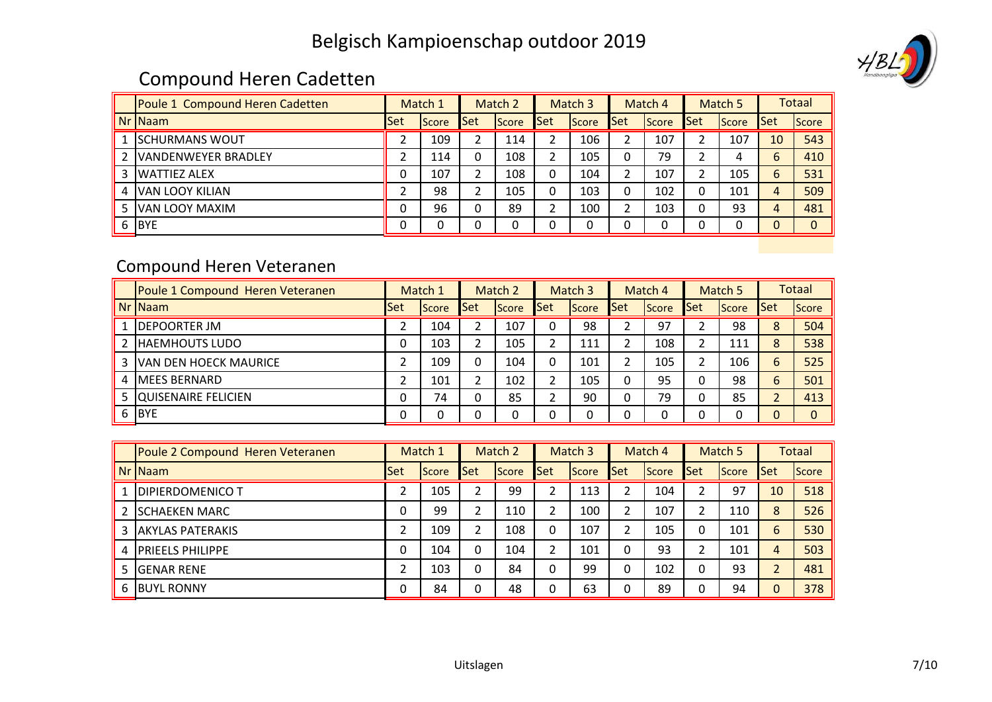# $\left(\begin{array}{c}\n\mathcal{A} \\
\mathcal{B} \\
\mathcal{L}\n\end{array}\right)$

## Compound Heren Cadetten

|   | Poule 1 Compound Heren Cadetten |     | Match 1      |     | Match 2 |     | Match <sub>3</sub> |     | Match 4 |     | Match 5      | Totaal |       |
|---|---------------------------------|-----|--------------|-----|---------|-----|--------------------|-----|---------|-----|--------------|--------|-------|
|   | Nr Naam                         | Set | <b>Score</b> | Set | Score   | Set | Score              | Set | Score   | Set | <b>Score</b> | Set    | Score |
|   | <b>ISCHURMANS WOUT</b>          |     | 109          | ◠   | 114     |     | 106                |     | 107     |     | 107          | 10     | 543   |
|   | <b>IVANDENWEYER BRADLEY</b>     |     | 114          | 0   | 108     |     | 105                | 0   | 79      |     |              | h      | 410   |
|   | <b>IWATTIEZ ALEX</b>            | 0   | 107          | ┑   | 108     |     | 104                |     | 107     |     | 105          | h      | 531   |
| 4 | VAN LOOY KILIAN                 |     | 98           | ┑   | 105     | 0   | 103                | 0   | 102     |     | 101          | Δ      | 509   |
|   | VAN LOOY MAXIM                  | 0   | 96           | 0   | 89      |     | 100                |     | 103     |     | 93           |        | 481   |
| 6 | <b>BYE</b>                      |     | 0            | 0   |         |     |                    |     |         |     |              |        |       |

## Compound Heren Veteranen

|   | Poule 1 Compound Heren Veteranen | Match 1    |               | Match 2      |              | Match 3 |              | Match 4    |              | Match 5 |              |            | <b>Totaal</b> |
|---|----------------------------------|------------|---------------|--------------|--------------|---------|--------------|------------|--------------|---------|--------------|------------|---------------|
|   | $Nr$ Naam                        | <b>Set</b> | <b>IScore</b> | <b>I</b> Set | <b>Score</b> | lSet    | <b>Score</b> | <b>Set</b> | <b>Score</b> | Set     | <b>Score</b> | <b>Set</b> | <b>Score</b>  |
|   | <b>IDEPOORTER JM</b>             |            | 104           |              | 107          |         | 98           |            | 97           |         | 98           | 8          | 504           |
|   | <b>IHAEMHOUTS LUDO</b>           | 0          | 103           | າ            | 105          | ∍       | 111          |            | 108          |         | 111          | 8          | 538           |
|   | 3 VAN DEN HOECK MAURICE          |            | 109           | 0            | 104          |         | 101          |            | 105          |         | 106          | 6          | 525           |
| 4 | <b>IMEES BERNARD</b>             |            | 101           | ົາ           | 102          |         | 105          |            | 95           |         | 98           | 6          | 501           |
|   | 5 QUISENAIRE FELICIEN            | 0          | 74            | n            | 85           |         | 90           |            | 79           |         | 85           |            | 413           |
|   | 6 BYE                            | 0          | 0             |              |              |         |              |            |              |         |              |            | $\Omega$      |

|    | Poule 2 Compound Heren Veteranen | Match 1 |       | Match 2 |              | Match <sub>3</sub> |              | Match 4    |              | Match 5      |              | <b>Totaal</b> |              |
|----|----------------------------------|---------|-------|---------|--------------|--------------------|--------------|------------|--------------|--------------|--------------|---------------|--------------|
|    | Nr INaam                         | Set     | Score | Set     | <b>Score</b> | Set                | <b>Score</b> | <b>Set</b> | <b>Score</b> | <b>I</b> Set | <b>Score</b> | <b>Set</b>    | <b>Score</b> |
|    | <b>DIPIERDOMENICO T</b>          |         | 105   | ┑       | 99           |                    | 113          |            | 104          |              | 97           | 10            | 518          |
|    | <b>ISCHAEKEN MARC</b>            |         | 99    | ∍       | 110          |                    | 100          |            | 107          |              | 110          | 8             | 526          |
| 3  | <b>AKYLAS PATERAKIS</b>          |         | 109   | ∍       | 108          | 0                  | 107          |            | 105          |              | 101          | 6             | 530          |
|    | 4 <b>IPRIEELS PHILIPPE</b>       |         | 104   | 0       | 104          |                    | 101          |            | 93           |              | 101          | 4             | 503          |
| 5. | <b>IGENAR RENE</b>               | h       | 103   | 0       | 84           | 0                  | 99           | 0          | 102          |              | 93           |               | 481          |
| 6  | <b>BUYL RONNY</b>                |         | 84    | 0       | 48           | $\Omega$           | 63           |            | 89           |              | 94           |               | 378          |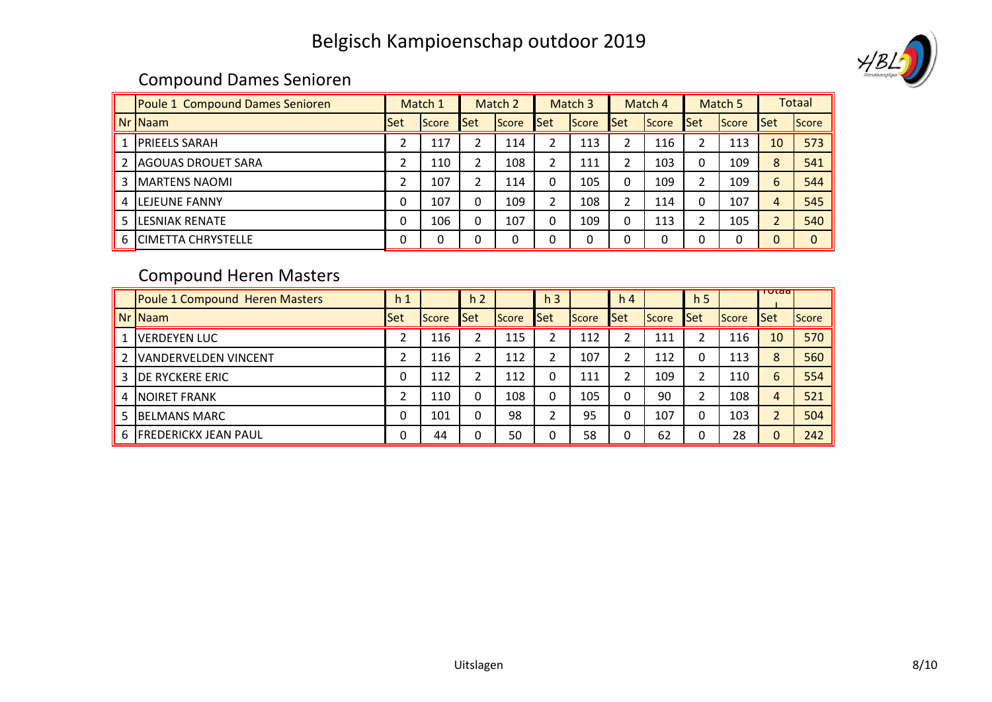

## Compound Dames Senioren

|    | <b>Poule 1 Compound Dames Senioren</b> | Match 1 |              |                | Match 2      |            | Match 3      |             | Match 4      |              | Match 5 |            | <b>Totaal</b> |
|----|----------------------------------------|---------|--------------|----------------|--------------|------------|--------------|-------------|--------------|--------------|---------|------------|---------------|
|    | $Nr$ Naam                              | Set     | <b>Score</b> | <b>Set</b>     | <b>Score</b> | <b>Set</b> | <b>Score</b> | Set         | <b>Score</b> | <b>I</b> Set | Score   | <b>Set</b> | Score         |
|    | <b>PRIEELS SARAH</b>                   | ∠       | 117          | $\overline{2}$ | 114          | 2          | 113          |             | 116          |              | 113     | 10         | 573           |
|    | <b>AGOUAS DROUET SARA</b>              | ∠       | 110          | $\overline{2}$ | 108          | 2          | 111          |             | 103          | $\Omega$     | 109     | 8          | 541           |
|    | 3   MARTENS NAOMI                      | ำ<br>ے  | 107          | າ              | 114          | $\Omega$   | 105          | 0           | 109          | ጎ            | 109     | 6          | 544           |
| 4  | <b>ILEJEUNE FANNY</b>                  | 0       | 107          | 0              | 109          | າ          | 108          |             | 114          | 0            | 107     | 4          | 545           |
| 5. | <b>LESNIAK RENATE</b>                  | 0       | 106          | 0              | 107          | $\Omega$   | 109          | $\mathbf 0$ | 113          | h            | 105     |            | 540           |
|    | <b>6 ICIMETTA CHRYSTELLE</b>           | 0       | 0            | 0              | 0            | 0          |              | 0           | 0            | 0            | n       |            | $\Omega$      |

## Compound Heren Masters

|   | CUITINUUTU TTETEIT IVIASLETS   |                |       |                |              |                |       |                |       |                |              |            |              |
|---|--------------------------------|----------------|-------|----------------|--------------|----------------|-------|----------------|-------|----------------|--------------|------------|--------------|
|   | Poule 1 Compound Heren Masters | h <sub>1</sub> |       | h <sub>2</sub> |              | h <sub>3</sub> |       | h <sub>4</sub> |       | h <sub>5</sub> |              | Tutaa      |              |
|   | Nr   Naam                      | <b>Set</b>     | Score | <b>I</b> Set   | <b>Score</b> | lSet           | Score | <b>Set</b>     | Score | <b>Set</b>     | <b>Score</b> | <b>Set</b> | <b>Score</b> |
|   | <b>VERDEYEN LUC</b>            |                | 116   | າ              | 115          |                | 112   |                | 111   |                | 116          | 10         | 570          |
|   | <b>VANDERVELDEN VINCENT</b>    | ว              | 116   | 2              | 112          |                | 107   |                | 112   |                | 113          | 8          | 560          |
|   | <b>DE RYCKERE ERIC</b>         | 0              | 112   | ົາ             | 112          | 0              | 111   |                | 109   |                | 110          | 6          | 554          |
| 4 | <b>INOIRET FRANK</b>           | ำ              | 110   | 0              | 108          | 0              | 105   |                | 90    |                | 108          | 4          | 521          |
|   | <b>BELMANS MARC</b>            | 0              | 101   | 0              | 98           | ∍              | 95    |                | 107   |                | 103          |            | 504          |
|   | 6 <b>FREDERICKX JEAN PAUL</b>  | 0              | 44    | 0              | 50           | 0              | 58    |                | 62    |                | 28           | $\Omega$   | 242          |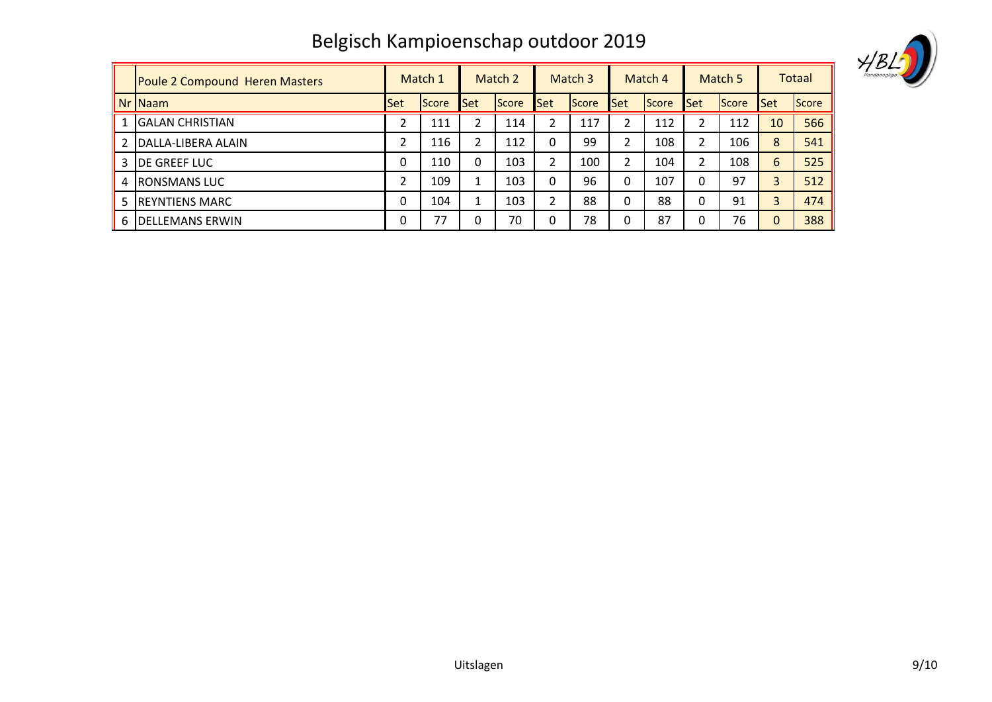|              | ν |  |
|--------------|---|--|
| Handboogliga |   |  |

|   | <b>Poule 2 Compound Heren Masters</b> |              | Match 1 | Match 2 |              | Match 3      |              | Match 4        |       | Match 5  |              | <b>Totaal</b> |       |
|---|---------------------------------------|--------------|---------|---------|--------------|--------------|--------------|----------------|-------|----------|--------------|---------------|-------|
|   | $Nr$ Naam                             | <b>I</b> Set | Score   | Set     | <b>Score</b> | <b>Set</b>   | <b>Score</b> | <b>Set</b>     | Score | Set      | <b>Score</b> | <b>Set</b>    | Score |
|   | <b>IGALAN CHRISTIAN</b>               |              | 111     | h       | 114          |              | 117          |                | 112   |          | 112          | 10            | 566   |
|   | DALLA-LIBERA ALAIN                    | ำ            | 116     | C.      | 112          |              | 99           | ำ              | 108   |          | 106          | 8             | 541   |
|   | <b>DE GREEF LUC</b>                   | 0            | 110     | 0       | 103          |              | 100          | $\mathfrak{p}$ | 104   |          | 108          | 6             | 525   |
| 4 | <b>IRONSMANS LUC</b>                  |              | 109     |         | 103          | $\mathbf{0}$ | 96           | 0              | 107   | O        | 97           |               | 512   |
|   | <b>REYNTIENS MARC</b>                 | 0            | 104     |         | 103          | າ            | 88           | 0              | 88    | $\Omega$ | 91           |               | 474   |
| 6 | IDELLEMANS ERWIN                      | 0            | 77      | 0       | 70           | $\Omega$     | 78           | O              | 87    | O        | 76           |               | 388   |